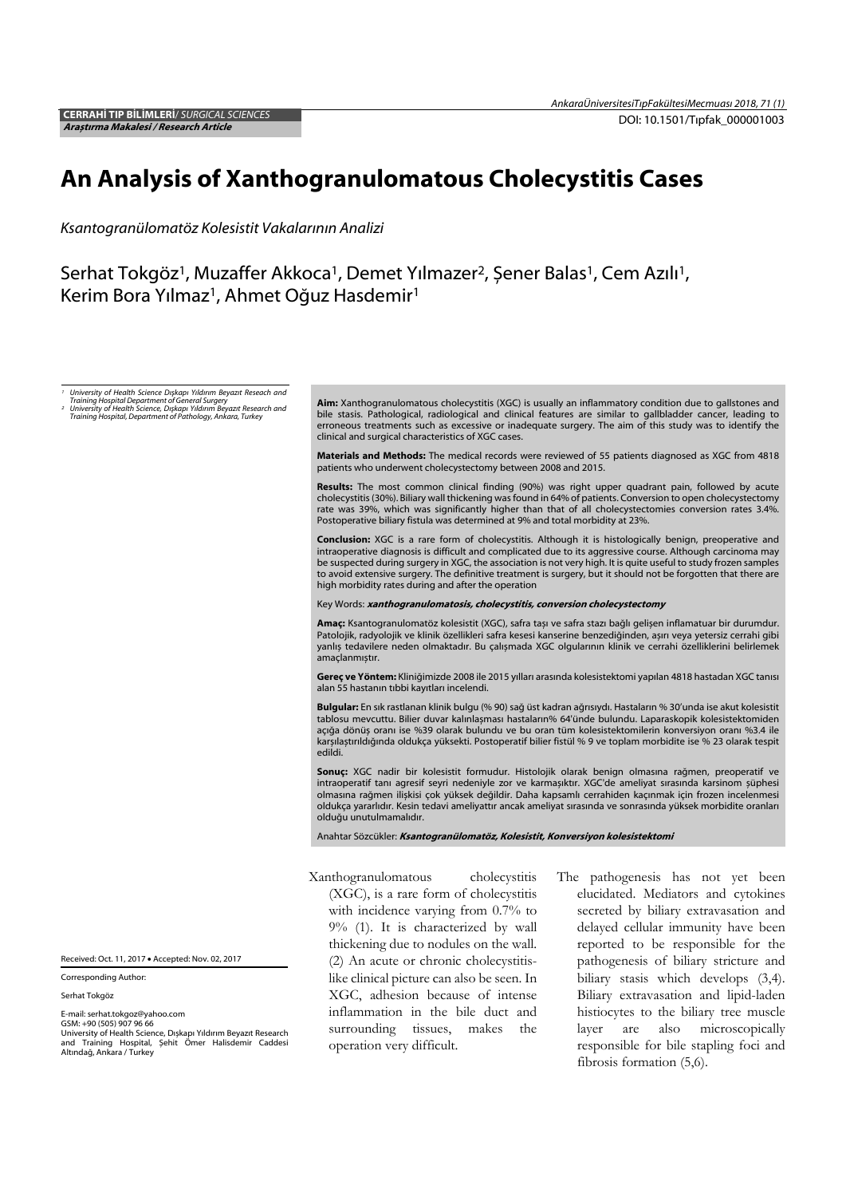# An Analysis of Xanthogranulomatous Cholecystitis Cases

*Ksantogranülomatöz Kolesistit Vakalarının Analizi* 

Serhat Tokgöz<sup>1</sup>, Muzaffer Akkoca<sup>1</sup>, Demet Yılmazer<sup>2</sup>, Şener Balas<sup>1</sup>, Cem Azılı<sup>1</sup>, Kerim Bora Yılmaz<sup>1</sup>, Ahmet Oğuz Hasdemir<sup>1</sup>

*1 University of Health Science Dışkapı Yıldırım Beyazıt Reseach and* 

*Training Hospital Department of General Surgery 2 University of Health Science, Dışkapı Yıldırım Beyazıt Research and Training Hospital, Department of Pathology, Ankara, Turkey* 

Aim: Xanthogranulomatous cholecystitis (XGC) is usually an inflammatory condition due to gallstones and bile stasis. Pathological, radiological and clinical features are similar to gallbladder cancer, leading to erroneous treatments such as excessive or inadequate surgery. The aim of this study was to identify the clinical and surgical characteristics of XGC cases.

Materials and Methods: The medical records were reviewed of 55 patients diagnosed as XGC from 4818 patients who underwent cholecystectomy between 2008 and 2015.

Results: The most common clinical finding (90%) was right upper quadrant pain, followed by acute cholecystitis (30%). Biliary wall thickening was found in 64% of patients. Conversion to open cholecystectomy rate was 39%, which was significantly higher than that of all cholecystectomies conversion rates 3.4%. Postoperative biliary fistula was determined at 9% and total morbidity at 23%.

Conclusion: XGC is a rare form of cholecystitis. Although it is histologically benign, preoperative and intraoperative diagnosis is difficult and complicated due to its aggressive course. Although carcinoma may be suspected during surgery in XGC, the association is not very high. It is quite useful to study frozen samples to avoid extensive surgery. The definitive treatment is surgery, but it should not be forgotten that there are high morbidity rates during and after the operation

Key Words: xanthogranulomatosis, cholecystitis, conversion cholecystectomy

Amac: Ksantogranulomatöz kolesistit (XGC), safra taşı ve safra stazı bağlı gelişen inflamatuar bir durumdur. Patolojik, radyolojik ve klinik özellikleri safra kesesi kanserine benzediğinden, așırı veya yetersiz cerrahi gibi yanlıș tedavilere neden olmaktadır. Bu çalıșmada XGC olgularının klinik ve cerrahi özelliklerini belirlemek amaçlanmıștır.

Gereç ve Yöntem: Kliniğimizde 2008 ile 2015 yılları arasında kolesistektomi yapılan 4818 hastadan XGC tanısı alan 55 hastanın tıbbi kayıtları incelendi.

Bulgular: En sık rastlanan klinik bulgu (% 90) sağ üst kadran ağrısıydı. Hastaların % 30'unda ise akut kolesistit tablosu mevcuttu. Bilier duvar kalınlașması hastaların% 64'ünde bulundu. Laparaskopik kolesistektomiden açığa dönüș oranı ise %39 olarak bulundu ve bu oran tüm kolesistektomilerin konversiyon oranı %3.4 ile karșılaștırıldığında oldukça yüksekti. Postoperatif bilier fistül % 9 ve toplam morbidite ise % 23 olarak tespit edildi.

Sonuç: XGC nadir bir kolesistit formudur. Histolojik olarak benign olmasına rağmen, preoperatif ve intraoperatif tanı agresif seyri nedeniyle zor ve karmașıktır. XGC'de ameliyat sırasında karsinom șüphesi olmasına rağmen ilișkisi çok yüksek değildir. Daha kapsamlı cerrahiden kaçınmak için frozen incelenmesi oldukça yararlıdır. Kesin tedavi ameliyattır ancak ameliyat sırasında ve sonrasında yüksek morbidite oranları olduğu unutulmamalıdır.

Anahtar Sözcükler: Ksantogranülomatöz, Kolesistit, Konversiyon kolesistektomi

Xanthogranulomatous cholecystitis

(XGC), is a rare form of cholecystitis with incidence varying from 0.7% to 9% (1). It is characterized by wall thickening due to nodules on the wall. (2) An acute or chronic cholecystitislike clinical picture can also be seen. In XGC, adhesion because of intense inflammation in the bile duct and surrounding tissues, makes the operation very difficult.

The pathogenesis has not yet been elucidated. Mediators and cytokines secreted by biliary extravasation and delayed cellular immunity have been reported to be responsible for the pathogenesis of biliary stricture and biliary stasis which develops (3,4). Biliary extravasation and lipid-laden histiocytes to the biliary tree muscle layer are also microscopically responsible for bile stapling foci and fibrosis formation (5,6).

Received: Oct. 11, 2017 Accepted: Nov. 02, 2017

Corresponding Author:

Serhat Tokgöz

E-mail: serhat.tokgoz@yahoo.com GSM: +90 (505) 907 96 66

University of Health Science, Dıșkapı Yıldırım Beyazıt Research and Training Hospital, Șehit Ömer Halisdemir Caddesi Altındağ, Ankara / Turkey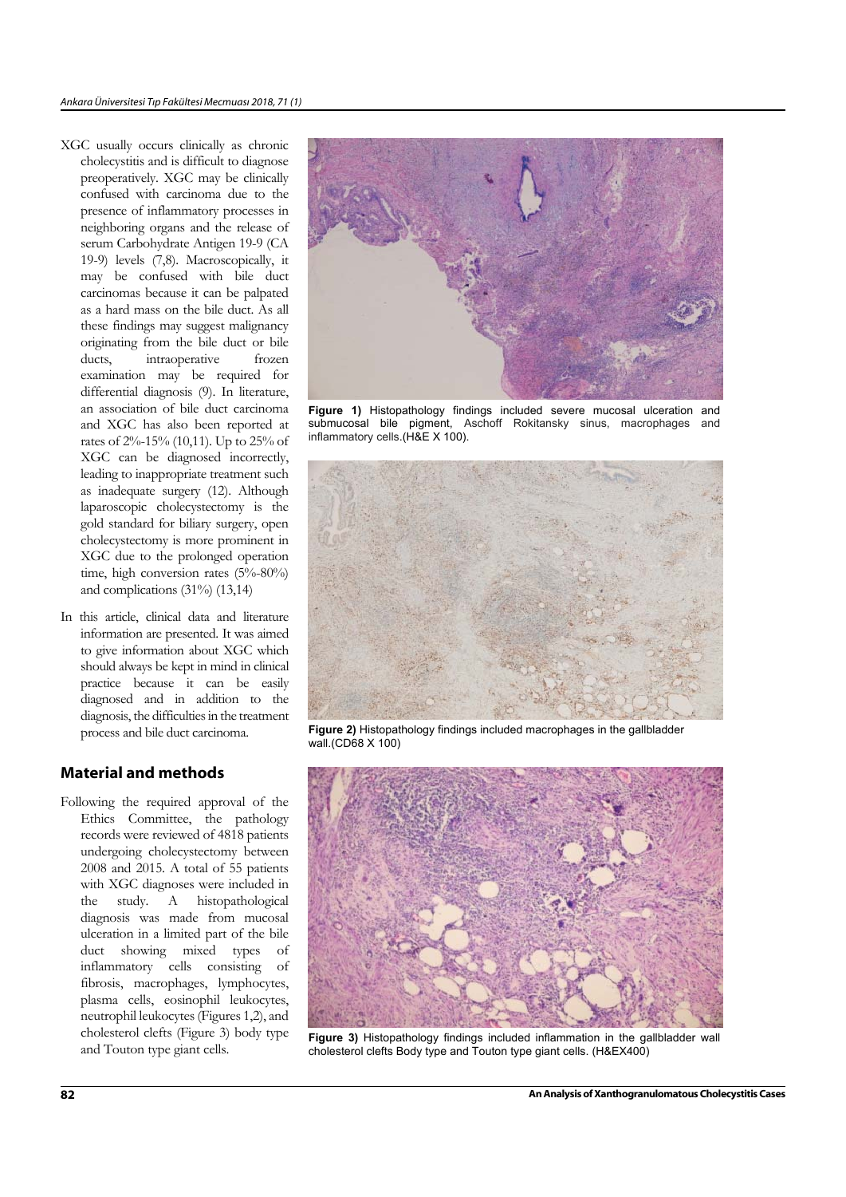- XGC usually occurs clinically as chronic cholecystitis and is difficult to diagnose preoperatively. XGC may be clinically confused with carcinoma due to the presence of inflammatory processes in neighboring organs and the release of serum Carbohydrate Antigen 19-9 (CA 19-9) levels (7,8). Macroscopically, it may be confused with bile duct carcinomas because it can be palpated as a hard mass on the bile duct. As all these findings may suggest malignancy originating from the bile duct or bile ducts, intraoperative frozen examination may be required for differential diagnosis (9). In literature, an association of bile duct carcinoma and XGC has also been reported at rates of 2%-15% (10,11). Up to 25% of XGC can be diagnosed incorrectly, leading to inappropriate treatment such as inadequate surgery (12). Although laparoscopic cholecystectomy is the gold standard for biliary surgery, open cholecystectomy is more prominent in XGC due to the prolonged operation time, high conversion rates (5%-80%) and complications (31%) (13,14)
- In this article, clinical data and literature information are presented. It was aimed to give information about XGC which should always be kept in mind in clinical practice because it can be easily diagnosed and in addition to the diagnosis, the difficulties in the treatment process and bile duct carcinoma.

## Material and methods

Following the required approval of the Ethics Committee, the pathology records were reviewed of 4818 patients undergoing cholecystectomy between 2008 and 2015. A total of 55 patients with XGC diagnoses were included in the study. A histopathological diagnosis was made from mucosal ulceration in a limited part of the bile duct showing mixed types of inflammatory cells consisting of fibrosis, macrophages, lymphocytes, plasma cells, eosinophil leukocytes, neutrophil leukocytes (Figures 1,2), and cholesterol clefts (Figure 3) body type and Touton type giant cells.



**Figure 1)** Histopathology findings included severe mucosal ulceration and submucosal bile pigment, Aschoff Rokitansky sinus, macrophages and inflammatory cells.(H&E X 100).



**Figure 2)** Histopathology findings included macrophages in the gallbladder wall.(CD68 X 100)



**Figure 3)** Histopathology findings included inflammation in the gallbladder wall cholesterol clefts Body type and Touton type giant cells. (H&EX400)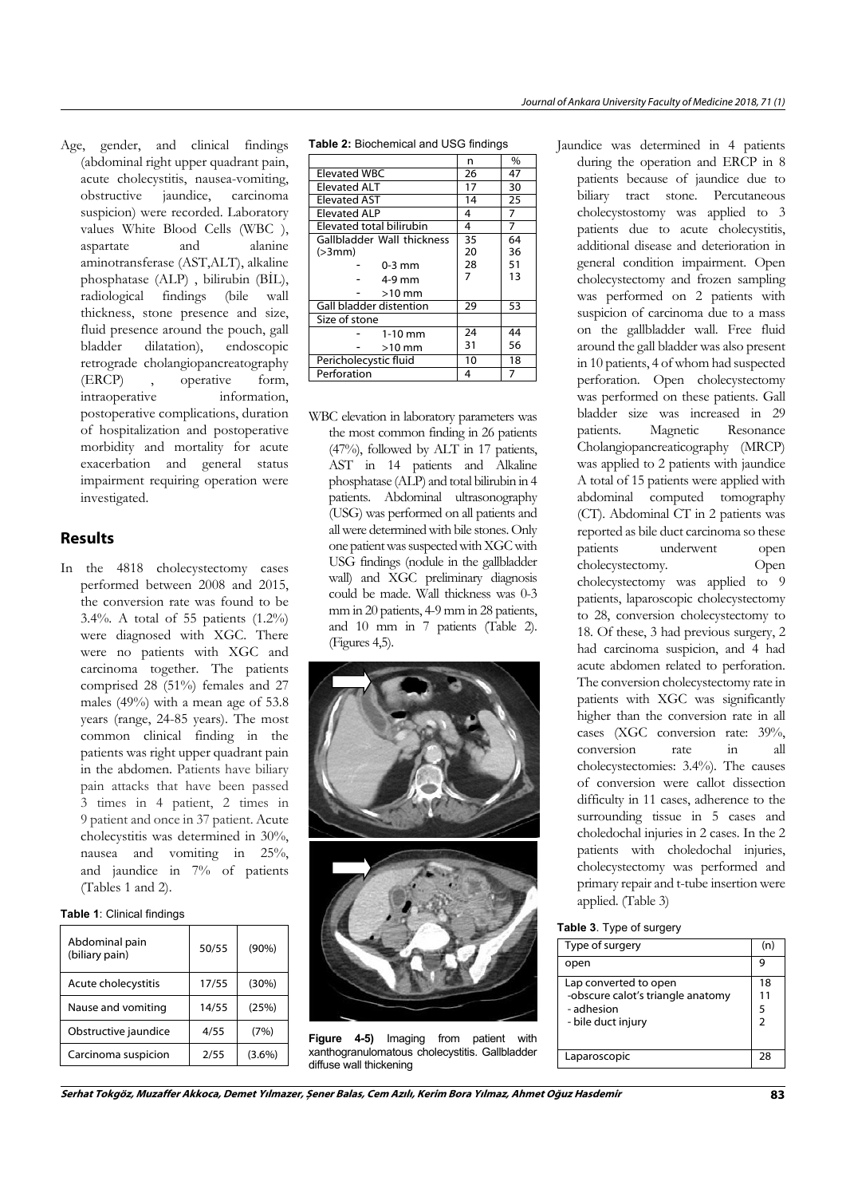Age, gender, and clinical findings (abdominal right upper quadrant pain, acute cholecystitis, nausea-vomiting, obstructive jaundice, carcinoma suspicion) were recorded. Laboratory values White Blood Cells (WBC ), aspartate and alanine aminotransferase (AST,ALT), alkaline phosphatase (ALP) , bilirubin (BİL), radiological findings (bile wall thickness, stone presence and size, fluid presence around the pouch, gall bladder dilatation), endoscopic retrograde cholangiopancreatography (ERCP) , operative form, intraoperative information, postoperative complications, duration of hospitalization and postoperative morbidity and mortality for acute exacerbation and general status impairment requiring operation were investigated.

# Results

In the 4818 cholecystectomy cases performed between 2008 and 2015, the conversion rate was found to be 3.4%. A total of 55 patients (1.2%) were diagnosed with XGC. There were no patients with XGC and carcinoma together. The patients comprised 28 (51%) females and 27 males (49%) with a mean age of 53.8 years (range, 24-85 years). The most common clinical finding in the patients was right upper quadrant pain in the abdomen. Patients have biliary pain attacks that have been passed 3 times in 4 patient, 2 times in 9 patient and once in 37 patient. Acute cholecystitis was determined in 30%, nausea and vomiting in 25%, and jaundice in 7% of patients (Tables 1 and 2).

## **Table 1**: Clinical findings

| Abdominal pain<br>(biliary pain) | 50/55 | $(90\%)$  |
|----------------------------------|-------|-----------|
| Acute cholecystitis              | 17/55 | (30%)     |
| Nause and vomiting               | 14/55 | (25%)     |
| Obstructive jaundice             | 4/55  | (7%)      |
| Carcinoma suspicion              | 2/55  | $(3.6\%)$ |

**Table 2:** Biochemical and USG findings

| n  | %  |
|----|----|
| 26 | 47 |
| 17 | 30 |
| 14 | 25 |
| 4  | 7  |
| 4  | 7  |
| 35 | 64 |
| 20 | 36 |
| 28 | 51 |
| 7  | 13 |
|    |    |
| 29 | 53 |
|    |    |
| 24 | 44 |
| 31 | 56 |
| 10 | 18 |
| 4  |    |
|    |    |

WBC elevation in laboratory parameters was the most common finding in 26 patients (47%), followed by ALT in 17 patients, AST in 14 patients and Alkaline phosphatase (ALP) and total bilirubin in 4 patients. Abdominal ultrasonography (USG) was performed on all patients and all were determined with bile stones. Only one patient was suspected with XGC with USG findings (nodule in the gallbladder wall) and XGC preliminary diagnosis could be made. Wall thickness was 0-3 mm in 20 patients, 4-9 mm in 28 patients, and 10 mm in 7 patients (Table 2). (Figures 4,5).



**Figure 4-5)** Imaging from patient with xanthogranulomatous cholecystitis. Gallbladder diffuse wall thickening

Jaundice was determined in 4 patients during the operation and ERCP in 8 patients because of jaundice due to biliary tract stone. Percutaneous cholecystostomy was applied to 3 patients due to acute cholecystitis, additional disease and deterioration in general condition impairment. Open cholecystectomy and frozen sampling was performed on 2 patients with suspicion of carcinoma due to a mass on the gallbladder wall. Free fluid around the gall bladder was also present in 10 patients, 4 of whom had suspected perforation. Open cholecystectomy was performed on these patients. Gall bladder size was increased in 29 patients. Magnetic Resonance Cholangiopancreaticography (MRCP) was applied to 2 patients with jaundice A total of 15 patients were applied with abdominal computed tomography (CT). Abdominal CT in 2 patients was reported as bile duct carcinoma so these patients underwent open cholecystectomy. Open cholecystectomy was applied to 9 patients, laparoscopic cholecystectomy to 28, conversion cholecystectomy to 18. Of these, 3 had previous surgery, 2 had carcinoma suspicion, and 4 had acute abdomen related to perforation. The conversion cholecystectomy rate in patients with XGC was significantly higher than the conversion rate in all cases (XGC conversion rate: 39%, conversion rate in all cholecystectomies: 3.4%). The causes of conversion were callot dissection difficulty in 11 cases, adherence to the surrounding tissue in 5 cases and choledochal injuries in 2 cases. In the 2 patients with choledochal injuries, cholecystectomy was performed and primary repair and t-tube insertion were applied. (Table 3)

#### **Table 3**. Type of surgery

| Type of surgery                   | (n) |
|-----------------------------------|-----|
| open                              |     |
| Lap converted to open             | 18  |
| -obscure calot's triangle anatomy | 11  |
| - adhesion                        | 5   |
| - bile duct injury                | 2   |
| Laparoscopic                      | 28  |

Serhat Tokgöz, Muzaffer Akkoca, Demet Yılmazer, Șener Balas, Cem Azılı, Kerim Bora Yılmaz, Ahmet Oğuz Hasdemir 83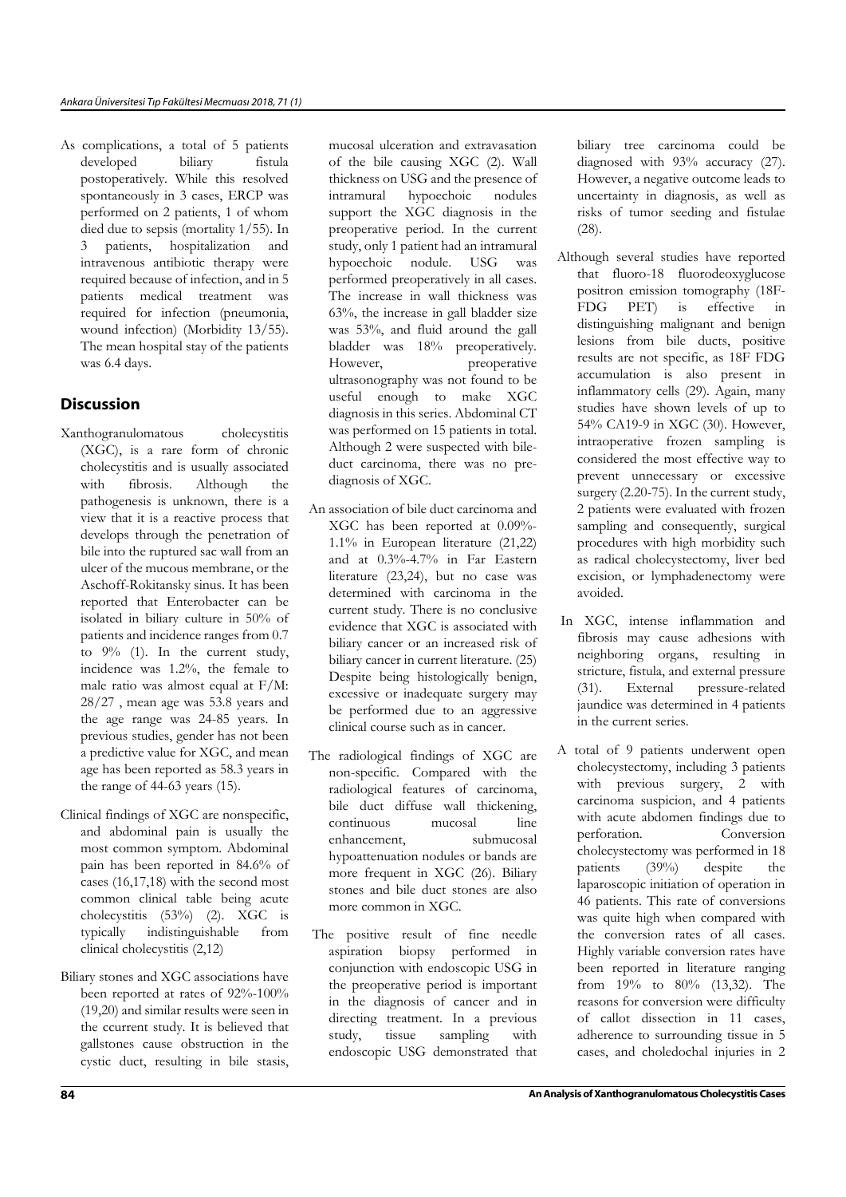As complications, a total of 5 patients developed biliary fistula postoperatively. While this resolved spontaneously in 3 cases, ERCP was performed on 2 patients, 1 of whom died due to sepsis (mortality 1/55). In 3 patients, hospitalization and intravenous antibiotic therapy were required because of infection, and in 5 patients medical treatment was required for infection (pneumonia, wound infection) (Morbidity 13/55). The mean hospital stay of the patients was 6.4 days.

## **Discussion**

- Xanthogranulomatous cholecystitis (XGC), is a rare form of chronic cholecystitis and is usually associated with fibrosis. Although the pathogenesis is unknown, there is a view that it is a reactive process that develops through the penetration of bile into the ruptured sac wall from an ulcer of the mucous membrane, or the Aschoff-Rokitansky sinus. It has been reported that Enterobacter can be isolated in biliary culture in 50% of patients and incidence ranges from 0.7 to 9% (1). In the current study, incidence was 1.2%, the female to male ratio was almost equal at F/M: 28/27 , mean age was 53.8 years and the age range was 24-85 years. In previous studies, gender has not been a predictive value for XGC, and mean age has been reported as 58.3 years in the range of 44-63 years (15).
- Clinical findings of XGC are nonspecific, and abdominal pain is usually the most common symptom. Abdominal pain has been reported in 84.6% of cases (16,17,18) with the second most common clinical table being acute cholecystitis (53%) (2). XGC is typically indistinguishable from clinical cholecystitis (2,12)
- Biliary stones and XGC associations have been reported at rates of 92%-100% (19,20) and similar results were seen in the ccurrent study. It is believed that gallstones cause obstruction in the cystic duct, resulting in bile stasis,

mucosal ulceration and extravasation of the bile causing XGC (2). Wall thickness on USG and the presence of intramural hypoechoic nodules support the XGC diagnosis in the preoperative period. In the current study, only 1 patient had an intramural hypoechoic nodule. USG was performed preoperatively in all cases. The increase in wall thickness was 63%, the increase in gall bladder size was 53%, and fluid around the gall bladder was 18% preoperatively. However, preoperative ultrasonography was not found to be useful enough to make XGC diagnosis in this series. Abdominal CT was performed on 15 patients in total. Although 2 were suspected with bileduct carcinoma, there was no prediagnosis of XGC.

- An association of bile duct carcinoma and XGC has been reported at 0.09%- 1.1% in European literature (21,22) and at 0.3%-4.7% in Far Eastern literature (23,24), but no case was determined with carcinoma in the current study. There is no conclusive evidence that XGC is associated with biliary cancer or an increased risk of biliary cancer in current literature. (25) Despite being histologically benign, excessive or inadequate surgery may be performed due to an aggressive clinical course such as in cancer.
- The radiological findings of XGC are non-specific. Compared with the radiological features of carcinoma, bile duct diffuse wall thickening, continuous mucosal line enhancement, submucosal hypoattenuation nodules or bands are more frequent in XGC (26). Biliary stones and bile duct stones are also more common in XGC.
- The positive result of fine needle aspiration biopsy performed in conjunction with endoscopic USG in the preoperative period is important in the diagnosis of cancer and in directing treatment. In a previous study, tissue sampling with endoscopic USG demonstrated that

biliary tree carcinoma could be diagnosed with 93% accuracy (27). However, a negative outcome leads to uncertainty in diagnosis, as well as risks of tumor seeding and fistulae (28).

- Although several studies have reported that fluoro-18 fluorodeoxyglucose positron emission tomography (18F-FDG PET) is effective in distinguishing malignant and benign lesions from bile ducts, positive results are not specific, as 18F FDG accumulation is also present in inflammatory cells (29). Again, many studies have shown levels of up to 54% CA19-9 in XGC (30). However, intraoperative frozen sampling is considered the most effective way to prevent unnecessary or excessive surgery (2.20-75). In the current study, 2 patients were evaluated with frozen sampling and consequently, surgical procedures with high morbidity such as radical cholecystectomy, liver bed excision, or lymphadenectomy were avoided.
- In XGC, intense inflammation and fibrosis may cause adhesions with neighboring organs, resulting in stricture, fistula, and external pressure (31). External pressure-related jaundice was determined in 4 patients in the current series.
- A total of 9 patients underwent open cholecystectomy, including 3 patients with previous surgery, 2 with carcinoma suspicion, and 4 patients with acute abdomen findings due to perforation. Conversion cholecystectomy was performed in 18 patients (39%) despite the laparoscopic initiation of operation in 46 patients. This rate of conversions was quite high when compared with the conversion rates of all cases. Highly variable conversion rates have been reported in literature ranging from 19% to 80% (13,32). The reasons for conversion were difficulty of callot dissection in 11 cases, adherence to surrounding tissue in 5 cases, and choledochal injuries in 2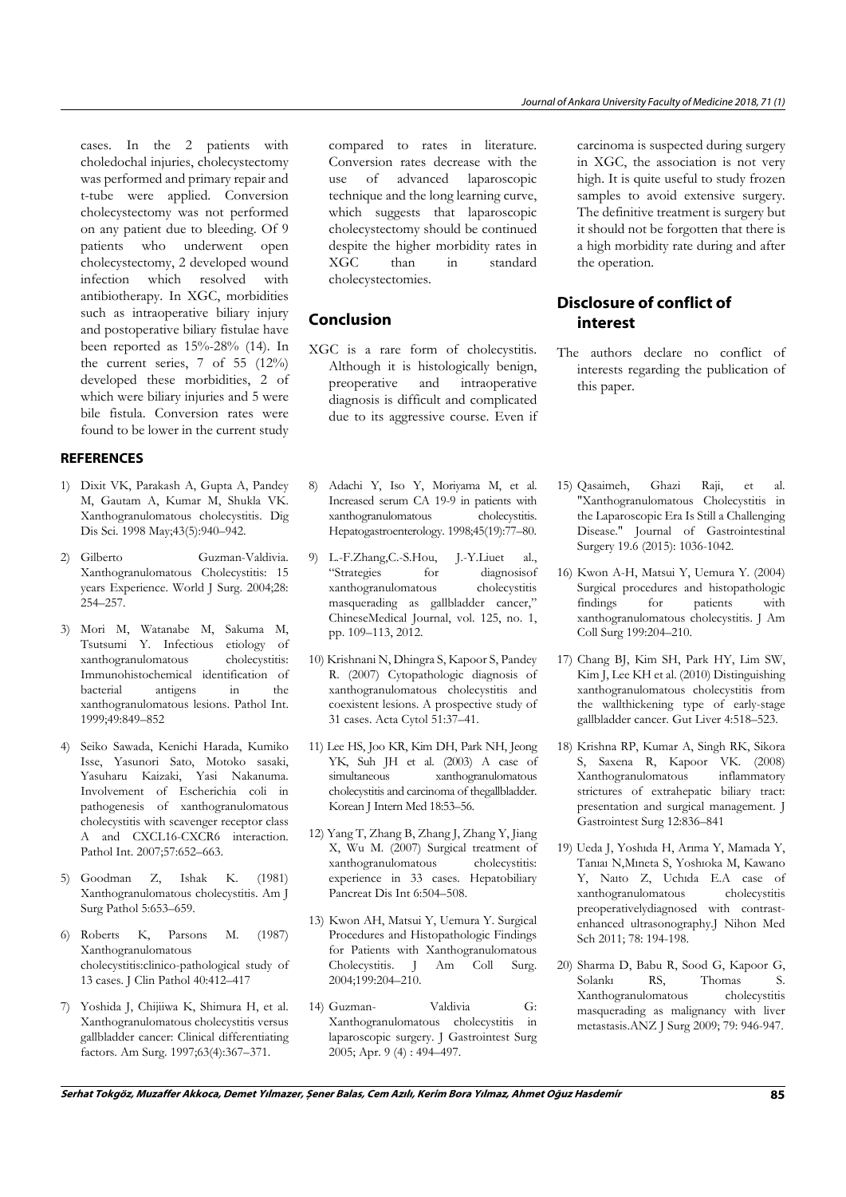cases. In the 2 patients with choledochal injuries, cholecystectomy was performed and primary repair and t-tube were applied. Conversion cholecystectomy was not performed on any patient due to bleeding. Of 9 patients who underwent open cholecystectomy, 2 developed wound infection which resolved with antibiotherapy. In XGC, morbidities such as intraoperative biliary injury and postoperative biliary fistulae have been reported as 15%-28% (14). In the current series, 7 of 55 (12%) developed these morbidities, 2 of which were biliary injuries and 5 were bile fistula. Conversion rates were found to be lower in the current study

### REFERENCES

- 1) Dixit VK, Parakash A, Gupta A, Pandey M, Gautam A, Kumar M, Shukla VK. Xanthogranulomatous cholecystitis. Dig Dis Sci. 1998 May;43(5):940–942.
- 2) Gilberto Guzman-Valdivia. Xanthogranulomatous Cholecystitis: 15 years Experience. World J Surg. 2004;28: 254–257.
- 3) Mori M, Watanabe M, Sakuma M, Tsutsumi Y. Infectious etiology of xanthogranulomatous cholecystitis: Immunohistochemical identification of bacterial antigens in the xanthogranulomatous lesions. Pathol Int. 1999;49:849–852
- 4) Seiko Sawada, Kenichi Harada, Kumiko Isse, Yasunori Sato, Motoko sasaki, Yasuharu Kaizaki, Yasi Nakanuma. Involvement of Escherichia coli in pathogenesis of xanthogranulomatous cholecystitis with scavenger receptor class A and CXCL16-CXCR6 interaction. Pathol Int. 2007;57:652–663.
- 5) Goodman Z, Ishak K. (1981) Xanthogranulomatous cholecystitis. Am J Surg Pathol 5:653–659.
- 6) Roberts K, Parsons M. (1987) Xanthogranulomatous cholecystitis:clinico-pathological study of 13 cases. J Clin Pathol 40:412–417
- 7) Yoshida J, Chijiiwa K, Shimura H, et al. Xanthogranulomatous cholecystitis versus gallbladder cancer: Clinical differentiating factors. Am Surg. 1997;63(4):367–371.

compared to rates in literature. Conversion rates decrease with the use of advanced laparoscopic technique and the long learning curve, which suggests that laparoscopic cholecystectomy should be continued despite the higher morbidity rates in<br>
XGC than in standard XGC than in standard cholecystectomies.

# Conclusion

- XGC is a rare form of cholecystitis. Although it is histologically benign, preoperative and intraoperative diagnosis is difficult and complicated due to its aggressive course. Even if
- 8) Adachi Y, Iso Y, Moriyama M, et al. Increased serum CA 19-9 in patients with xanthogranulomatous cholecystitis. Hepatogastroenterology. 1998;45(19):77–80.
- 9) L.-F.Zhang,C.-S.Hou, J.-Y.Liuet al., "Strategies for diagnosisof xanthogranulomatous cholecystitis masquerading as gallbladder cancer," ChineseMedical Journal, vol. 125, no. 1, pp. 109–113, 2012.
- 10) Krishnani N, Dhingra S, Kapoor S, Pandey R. (2007) Cytopathologic diagnosis of xanthogranulomatous cholecystitis and coexistent lesions. A prospective study of 31 cases. Acta Cytol 51:37–41.
- 11) Lee HS, Joo KR, Kim DH, Park NH, Jeong YK, Suh JH et al. (2003) A case of simultaneous xanthogranulomatous cholecystitis and carcinoma of thegallbladder. Korean J Intern Med 18:53–56.
- 12) Yang T, Zhang B, Zhang J, Zhang Y, Jiang X, Wu M. (2007) Surgical treatment of xanthogranulomatous cholecystitis: experience in 33 cases. Hepatobiliary Pancreat Dis Int 6:504–508.
- 13) Kwon AH, Matsui Y, Uemura Y. Surgical Procedures and Histopathologic Findings for Patients with Xanthogranulomatous Cholecystitis. J Am Coll Surg. 2004;199:204–210.
- 14) Guzman- Valdivia G: Xanthogranulomatous cholecystitis in laparoscopic surgery. J Gastrointest Surg 2005; Apr. 9 (4) : 494–497.

carcinoma is suspected during surgery in XGC, the association is not very high. It is quite useful to study frozen samples to avoid extensive surgery. The definitive treatment is surgery but it should not be forgotten that there is a high morbidity rate during and after the operation.

# Disclosure of conflict of interest

- The authors declare no conflict of interests regarding the publication of this paper.
- 15) Qasaimeh, Ghazi Raji, et al. "Xanthogranulomatous Cholecystitis in the Laparoscopic Era Is Still a Challenging Disease." Journal of Gastrointestinal Surgery 19.6 (2015): 1036-1042.
- 16) Kwon A-H, Matsui Y, Uemura Y. (2004) Surgical procedures and histopathologic findings for patients with xanthogranulomatous cholecystitis. J Am Coll Surg 199:204–210.
- 17) Chang BJ, Kim SH, Park HY, Lim SW, Kim J, Lee KH et al. (2010) Distinguishing xanthogranulomatous cholecystitis from the wallthickening type of early-stage gallbladder cancer. Gut Liver 4:518–523.
- 18) Krishna RP, Kumar A, Singh RK, Sikora S, Saxena R, Kapoor VK. (2008) Xanthogranulomatous inflammatory strictures of extrahepatic biliary tract: presentation and surgical management. J Gastrointest Surg 12:836–841
- 19) Ueda J, Yoshıda H, Arıma Y, Mamada Y, Tanıaı N,Mıneta S, Yoshıoka M, Kawano Y, Naıto Z, Uchıda E.A case of xanthogranulomatous cholecystitis preoperativelydiagnosed with contrastenhanced ultrasonography.J Nihon Med Sch 2011; 78: 194-198.
- 20) Sharma D, Babu R, Sood G, Kapoor G, Solankı RS, Thomas S. Xanthogranulomatous cholecystitis masquerading as malignancy with liver metastasis.ANZ J Surg 2009; 79: 946-947.